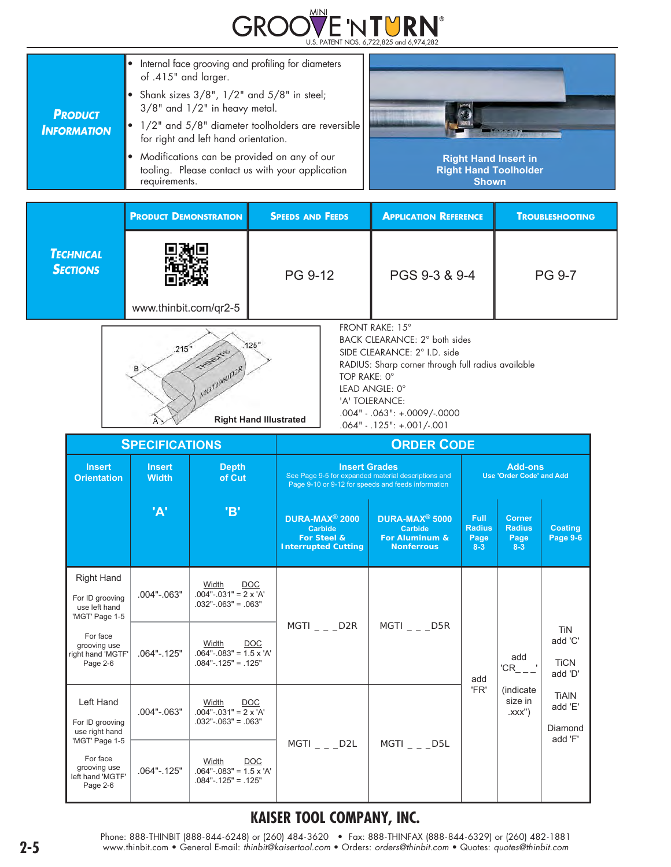

| Internal face grooving and profiling for diameters<br>of .415" and larger.<br>• Shank sizes $3/8$ ", $1/2$ " and $5/8$ " in steel;<br>$3/8$ " and $1/2$ " in heavy metal.<br>$\bullet$ 1/2" and 5/8" diameter toolholders are reversible<br>for right and left hand orientation.<br>Modifications can be provided on any of our<br>tooling. Please contact us with your application<br>requirements. | <b>Right Hand Insert in</b><br><b>Right Hand Toolholder</b><br><b>Shown</b> |
|------------------------------------------------------------------------------------------------------------------------------------------------------------------------------------------------------------------------------------------------------------------------------------------------------------------------------------------------------------------------------------------------------|-----------------------------------------------------------------------------|
|                                                                                                                                                                                                                                                                                                                                                                                                      |                                                                             |

|                                     | <b>PRODUCT DEMONSTRATION</b> | <b>SPEEDS AND FEEDS</b> | <b>APPLICATION REFERENCE</b> | <b>TROUBLESHOOTING</b> |
|-------------------------------------|------------------------------|-------------------------|------------------------------|------------------------|
| <b>TECHNICAL</b><br><b>SECTIONS</b> | www.thinbit.com/qr2-5        | PG 9-12                 | PGS 9-3 & 9-4                | <b>PG 9-7</b>          |
|                                     |                              |                         | FRONT RAKE: 15°              |                        |



BACK CLEARANCE: 2° both sides

SIDE CLEARANCE: 2° I.D. side RADIUS: Sharp corner through full radius available TOP RAKE: 0° LEAD ANGLE: 0° 'A' TOLERANCE: .004" - .063": +.0009/-.0000 .064" - .125": +.001/-.001

|                                                                         | <b>SPECIFICATIONS</b>         |                                                                                                                    |                                                                                                                                   | <b>ORDER CODE</b>                                                            |                                                   |                                                        |                                                 |  |
|-------------------------------------------------------------------------|-------------------------------|--------------------------------------------------------------------------------------------------------------------|-----------------------------------------------------------------------------------------------------------------------------------|------------------------------------------------------------------------------|---------------------------------------------------|--------------------------------------------------------|-------------------------------------------------|--|
| <b>Insert</b><br><b>Orientation</b>                                     | <b>Insert</b><br><b>Width</b> | <b>Depth</b><br>of Cut                                                                                             | <b>Insert Grades</b><br>See Page 9-5 for expanded material descriptions and<br>Page 9-10 or 9-12 for speeds and feeds information |                                                                              | <b>Add-ons</b><br><b>Use 'Order Code' and Add</b> |                                                        |                                                 |  |
|                                                                         | 'A'                           | 'B'                                                                                                                | DURA-MAX <sup>®</sup> 2000<br><b>Carbide</b><br>For Steel &<br><b>Interrupted Cutting</b>                                         | DURA-MAX <sup>®</sup> 5000<br>Carbide<br>For Aluminum &<br><b>Nonferrous</b> | <b>Full</b><br><b>Radius</b><br>Page<br>$8 - 3$   | <b>Corner</b><br><b>Radius</b><br>Page<br>$8 - 3$      | <b>Coating</b><br><b>Page 9-6</b>               |  |
| <b>Right Hand</b><br>For ID grooving<br>use left hand<br>'MGT' Page 1-5 | $.004" - .063"$               | Width<br><b>DOC</b><br>$.004"$ - $.031"$ = 2 x 'A'<br>$.032$ " $-.063$ " = .063"                                   |                                                                                                                                   |                                                                              |                                                   |                                                        |                                                 |  |
| For face<br>grooving use<br>right hand 'MGTF'<br>Page 2-6               | $.064" - .125"$               | Width<br><b>DOC</b><br>$.064$ "- $.083$ " = 1.5 x 'A'<br>$.084"$ - $.125"$ = $.125"$                               | $MGTI$ _ _ _D2R                                                                                                                   | $MGTI$ _ _ _D5R                                                              | add                                               | add<br>$'CR$ <sub>___</sub>                            | <b>TiN</b><br>add 'C'<br><b>TiCN</b><br>add 'D' |  |
| Left Hand<br>For ID grooving<br>use right hand<br>'MGT' Page 1-5        | $.004" - .063"$               | Width<br><b>DOC</b><br>$.004" - .031" = 2 \times 'A'$<br>$.032$ " $-.063$ " = .063"                                |                                                                                                                                   |                                                                              | 'FR'                                              | (indicate)<br>size in<br>$\mathsf{XXX}^{\prime\prime}$ | <b>TiAIN</b><br>add 'E'<br>Diamond<br>add 'F'   |  |
| For face<br>grooving use<br>left hand 'MGTF'<br>Page 2-6                | $.064" - .125"$               | $MGTI$ $_{-}$ $_{-}$ $D2L$<br>Width<br><b>DOC</b><br>$.064$ "- $.083$ " = 1.5 x 'A'<br>$.084"$ - $.125"$ = $.125"$ | $MGTI$ $_{-}$ $_{-}$ $D5L$                                                                                                        |                                                                              |                                                   |                                                        |                                                 |  |

# **KAISER TOOL COMPANY, INC.**

Phone: 888-THINBIT (888-844-6248) or (260) 484-3620 • Fax: 888-THINFAX (888-844-6329) or (260) 482-1881<br>www.thinbit.com • General E-mail: *thinbit@kaisertool.com* • Orders: *orders@thinbit.com* • Quotes: *quotes@thinbit.co*